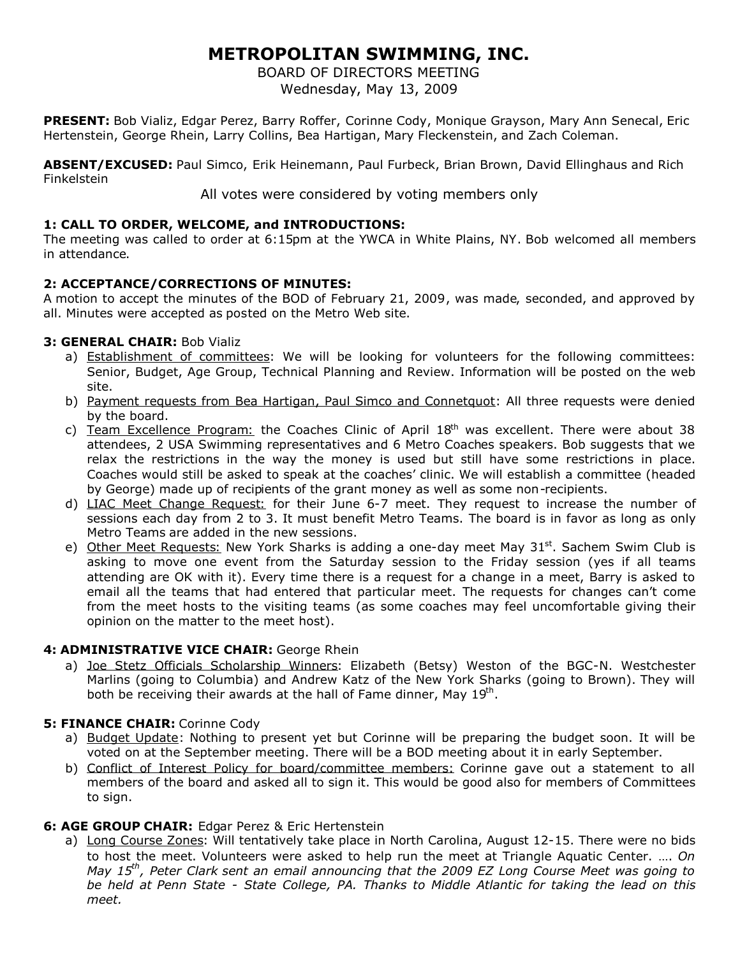## **METROPOLITAN SWIMMING, INC.**

BOARD OF DIRECTORS MEETING

Wednesday, May 13, 2009

**PRESENT:** Bob Vializ, Edgar Perez, Barry Roffer, Corinne Cody, Monique Grayson, Mary Ann Senecal, Eric Hertenstein, George Rhein, Larry Collins, Bea Hartigan, Mary Fleckenstein, and Zach Coleman.

**ABSENT/EXCUSED:** Paul Simco, Erik Heinemann, Paul Furbeck, Brian Brown, David Ellinghaus and Rich Finkelstein

All votes were considered by voting members only

### **1: CALL TO ORDER, WELCOME, and INTRODUCTIONS:**

The meeting was called to order at 6:15pm at the YWCA in White Plains, NY. Bob welcomed all members in attendance.

### **2: ACCEPTANCE/CORRECTIONS OF MINUTES:**

A motion to accept the minutes of the BOD of February 21, 2009, was made, seconded, and approved by all. Minutes were accepted as posted on the Metro Web site.

### **3: GENERAL CHAIR:** Bob Vializ

- a) Establishment of committees: We will be looking for volunteers for the following committees: Senior, Budget, Age Group, Technical Planning and Review. Information will be posted on the web site.
- b) Payment requests from Bea Hartigan, Paul Simco and Connetquot: All three requests were denied by the board.
- c) Team Excellence Program: the Coaches Clinic of April  $18<sup>th</sup>$  was excellent. There were about 38 attendees, 2 USA Swimming representatives and 6 Metro Coaches speakers. Bob suggests that we relax the restrictions in the way the money is used but still have some restrictions in place. Coaches would still be asked to speak at the coaches' clinic. We will establish a committee (headed by George) made up of recipients of the grant money as well as some non-recipients.
- d) LIAC Meet Change Request: for their June 6-7 meet. They request to increase the number of sessions each day from 2 to 3. It must benefit Metro Teams. The board is in favor as long as only Metro Teams are added in the new sessions.
- e) Other Meet Requests: New York Sharks is adding a one-day meet May 31<sup>st</sup>. Sachem Swim Club is asking to move one event from the Saturday session to the Friday session (yes if all teams attending are OK with it). Every time there is a request for a change in a meet, Barry is asked to email all the teams that had entered that particular meet. The requests for changes can't come from the meet hosts to the visiting teams (as some coaches may feel uncomfortable giving their opinion on the matter to the meet host).

#### **4: ADMINISTRATIVE VICE CHAIR:** George Rhein

a) Joe Stetz Officials Scholarship Winners: Elizabeth (Betsy) Weston of the BGC-N. Westchester Marlins (going to Columbia) and Andrew Katz of the New York Sharks (going to Brown). They will both be receiving their awards at the hall of Fame dinner, May 19<sup>th</sup>.

#### **5: FINANCE CHAIR:** Corinne Cody

- a) Budget Update: Nothing to present yet but Corinne will be preparing the budget soon. It will be voted on at the September meeting. There will be a BOD meeting about it in early September.
- b) Conflict of Interest Policy for board/committee members: Corinne gave out a statement to all members of the board and asked all to sign it. This would be good also for members of Committees to sign.

#### **6: AGE GROUP CHAIR:** Edgar Perez & Eric Hertenstein

a) Long Course Zones: Will tentatively take place in North Carolina, August 12-15. There were no bids to host the meet. Volunteers were asked to help run the meet at Triangle Aquatic Center. …. *On May 15th, Peter Clark sent an email announcing that the 2009 EZ Long Course Meet was going to be held at Penn State - State College, PA. Thanks to Middle Atlantic for taking the lead on this meet.*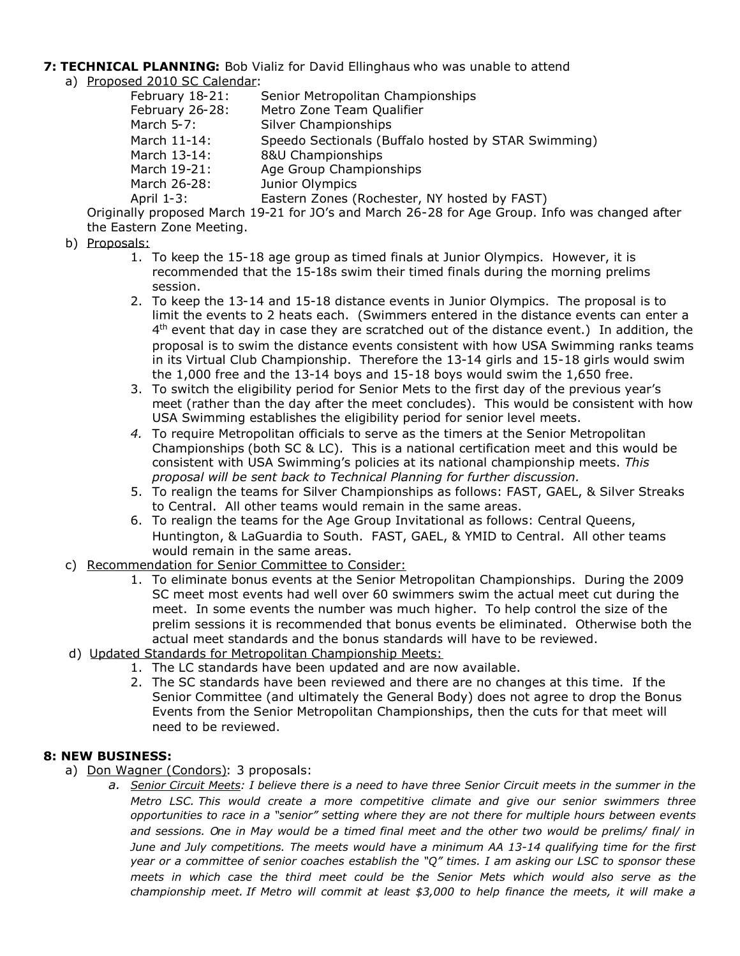# **7: TECHNICAL PLANNING:** Bob Vializ for David Ellinghaus who was unable to attend

a) Proposed 2010 SC Calendar:

| February 18-21: | Senior Metropolitan Championships                                                    |
|-----------------|--------------------------------------------------------------------------------------|
| February 26-28: | Metro Zone Team Qualifier                                                            |
| March 5-7:      | Silver Championships                                                                 |
| March 11-14:    | Speedo Sectionals (Buffalo hosted by STAR Swimming)                                  |
| March 13-14:    | 8&U Championships                                                                    |
| March 19-21:    | Age Group Championships                                                              |
| March 26-28:    | Junior Olympics                                                                      |
| April 1-3:      | Eastern Zones (Rochester, NY hosted by FAST)                                         |
|                 | $\mu$ proposed March 10.21 for $10/6$ and March 26, 29 for Ago Crown. Info was share |

Originally proposed March 19-21 for JO's and March 26-28 for Age Group. Info was changed after the Eastern Zone Meeting.

## b) Proposals:

- 1. To keep the 15-18 age group as timed finals at Junior Olympics. However, it is recommended that the 15-18s swim their timed finals during the morning prelims session.
- 2. To keep the 13-14 and 15-18 distance events in Junior Olympics. The proposal is to limit the events to 2 heats each. (Swimmers entered in the distance events can enter a 4<sup>th</sup> event that day in case they are scratched out of the distance event.) In addition, the proposal is to swim the distance events consistent with how USA Swimming ranks teams in its Virtual Club Championship. Therefore the 13-14 girls and 15-18 girls would swim the 1,000 free and the 13-14 boys and 15-18 boys would swim the 1,650 free.
- 3. To switch the eligibility period for Senior Mets to the first day of the previous year's meet (rather than the day after the meet concludes). This would be consistent with how USA Swimming establishes the eligibility period for senior level meets.
- *4.* To require Metropolitan officials to serve as the timers at the Senior Metropolitan Championships (both SC & LC). This is a national certification meet and this would be consistent with USA Swimming's policies at its national championship meets. *This proposal will be sent back to Technical Planning for further discussion.*
- 5. To realign the teams for Silver Championships as follows: FAST, GAEL, & Silver Streaks to Central. All other teams would remain in the same areas.
- 6. To realign the teams for the Age Group Invitational as follows: Central Queens, Huntington, & LaGuardia to South. FAST, GAEL, & YMID to Central. All other teams would remain in the same areas.
- c) Recommendation for Senior Committee to Consider:
	- 1. To eliminate bonus events at the Senior Metropolitan Championships. During the 2009 SC meet most events had well over 60 swimmers swim the actual meet cut during the meet. In some events the number was much higher. To help control the size of the prelim sessions it is recommended that bonus events be eliminated. Otherwise both the actual meet standards and the bonus standards will have to be reviewed.
- d) Updated Standards for Metropolitan Championship Meets:
	- 1. The LC standards have been updated and are now available.
	- 2. The SC standards have been reviewed and there are no changes at this time. If the Senior Committee (and ultimately the General Body) does not agree to drop the Bonus Events from the Senior Metropolitan Championships, then the cuts for that meet will need to be reviewed.

## **8: NEW BUSINESS:**

- a) Don Wagner (Condors): 3 proposals:
	- *a. Senior Circuit Meets: I believe there is a need to have three Senior Circuit meets in the summer in the Metro LSC. This would create a more competitive climate and give our senior swimmers three opportunities to race in a "senior" setting where they are not there for multiple hours between events and sessions. One in May would be a timed final meet and the other two would be prelims/ final/ in June and July competitions. The meets would have a minimum AA 13-14 qualifying time for the first year or a committee of senior coaches establish the "Q" times. I am asking our LSC to sponsor these meets in which case the third meet could be the Senior Mets which would also serve as the championship meet. If Metro will commit at least \$3,000 to help finance the meets, it will make a*